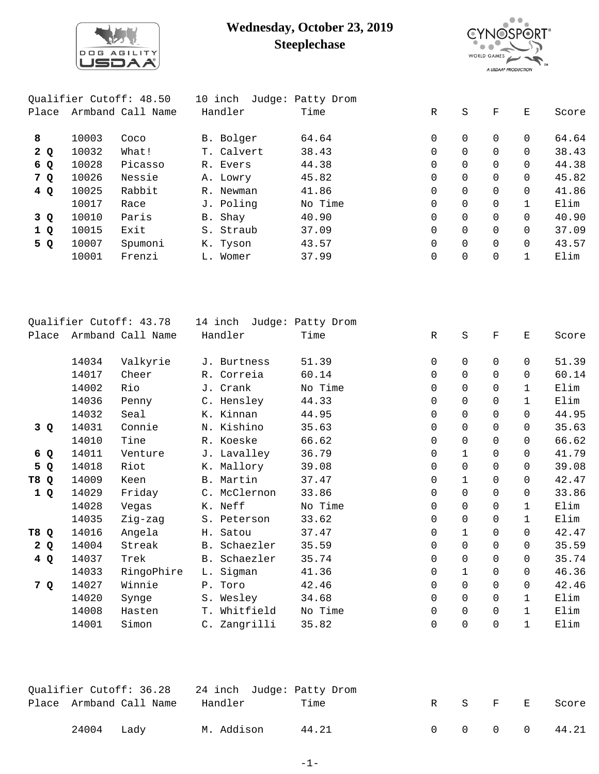

## **Wednesday, October 23, 2019 Steeplechase**



|       |                   | Oualifier Cutoff: 48.50 |         | 10 inch    | Judge: Patty Drom |              |          |          |          |       |
|-------|-------------------|-------------------------|---------|------------|-------------------|--------------|----------|----------|----------|-------|
| Place | Armband Call Name |                         | Handler |            | Time              | $\mathbb{R}$ | S        | F        | Е        | Score |
| 8     | 10003             | Coco                    |         | B. Bolger  | 64.64             | 0            | $\Omega$ | 0        | $\Omega$ | 64.64 |
| 2Q    | 10032             | What!                   |         | T. Calvert | 38.43             | $\Omega$     | $\Omega$ |          | $\Omega$ | 38.43 |
| 6 Q   | 10028             | Picasso                 |         | R. Evers   | 44.38             | $\Omega$     | $\Omega$ | $\Omega$ | $\Omega$ | 44.38 |
| 7 Q   | 10026             | Nessie                  |         | A. Lowry   | 45.82             | $\Omega$     | $\Omega$ |          | $\Omega$ | 45.82 |
| 4Q    | 10025             | Rabbit                  |         | R. Newman  | 41.86             | $\Omega$     | $\Omega$ | $\Omega$ | $\Omega$ | 41.86 |
|       | 10017             | Race                    |         | J. Poling  | No Time           | $\Omega$     | $\Omega$ |          |          | Elim  |
| 3 Q   | 10010             | Paris                   |         | B. Shay    | 40.90             | $\Omega$     | $\Omega$ |          | $\Omega$ | 40.90 |
| 1 Q   | 10015             | Exit                    |         | S. Straub  | 37.09             | $\Omega$     | $\Omega$ |          | $\Omega$ | 37.09 |
| 5 Q   | 10007             | Spumoni                 |         | K. Tyson   | 43.57             | 0            | $\Omega$ |          | $\Omega$ | 43.57 |
|       | 10001             | Frenzi                  |         | L. Womer   | 37.99             | 0            | 0        |          |          | Elim  |
|       |                   |                         |         |            |                   |              |          |          |          |       |

|                                |       | Qualifier Cutoff: 43.78 | 14 inch      | Judge: Patty Drom |                     |             |             |                    |       |
|--------------------------------|-------|-------------------------|--------------|-------------------|---------------------|-------------|-------------|--------------------|-------|
| Place                          |       | Armband Call Name       | Handler      | Time              | $\mathbb{R}$        | $\rm S$     | $\rm F$     | $\mathbf{E}% _{t}$ | Score |
|                                |       |                         |              |                   |                     |             |             |                    |       |
|                                | 14034 | Valkyrie                | J. Burtness  | 51.39             | $\mathbf 0$         | 0           | $\mathbf 0$ | $\mathbf 0$        | 51.39 |
|                                | 14017 | Cheer                   | R. Correia   | 60.14             | 0                   | 0           | $\Omega$    | $\Omega$           | 60.14 |
|                                | 14002 | Rio                     | J. Crank     | No Time           | 0                   | 0           | 0           | $\mathbf{1}$       | Elim  |
|                                | 14036 | Penny                   | C. Hensley   | 44.33             | 0                   | $\mathbf 0$ | $\Omega$    | $\mathbf{1}$       | Elim  |
|                                | 14032 | Seal                    | K. Kinnan    | 44.95             | 0                   | 0           | $\Omega$    | $\Omega$           | 44.95 |
| 3Q                             | 14031 | Connie                  | N. Kishino   | 35.63             | $\mathbf 0$         | 0           | $\Omega$    | $\Omega$           | 35.63 |
|                                | 14010 | Tine                    | R. Koeske    | 66.62             | 0                   | $\mathsf 0$ | 0           | $\Omega$           | 66.62 |
| 6 Q                            | 14011 | Venture                 | J. Lavalley  | 36.79             | 0                   | 1           | $\Omega$    | $\Omega$           | 41.79 |
| 5<br>Q                         | 14018 | Riot                    | K. Mallory   | 39.08             | 0                   | $\mathsf 0$ | 0           | $\Omega$           | 39.08 |
| T8<br>$\mathbf Q$              | 14009 | Keen                    | B. Martin    | 37.47             | 0                   | 1           | $\mathbf 0$ | 0                  | 42.47 |
| 1Q                             | 14029 | Friday                  | C. McClernon | 33.86             | $\mathsf{O}\xspace$ | $\mathsf 0$ | 0           | 0                  | 33.86 |
|                                | 14028 | Vegas                   | K. Neff      | No Time           | 0                   | 0           | 0           | $\mathbf{1}$       | Elim  |
|                                | 14035 | Zig-zag                 | S. Peterson  | 33.62             | 0                   | $\mathsf 0$ | 0           | $\mathbf{1}$       | Elim  |
| T <sub>8</sub><br>$\mathbf{Q}$ | 14016 | Angela                  | H. Satou     | 37.47             | 0                   | $\mathbf 1$ | 0           | $\Omega$           | 42.47 |
| 2Q                             | 14004 | Streak                  | B. Schaezler | 35.59             | 0                   | 0           | 0           | $\Omega$           | 35.59 |
| 4Q                             | 14037 | Trek                    | B. Schaezler | 35.74             | $\mathbf 0$         | $\mathbf 0$ | 0           | $\mathbf 0$        | 35.74 |
|                                | 14033 | RingoPhire              | L. Sigman    | 41.36             | $\mathbf 0$         | $\mathbf 1$ | 0           | 0                  | 46.36 |
| 7 Q                            | 14027 | Winnie                  | P. Toro      | 42.46             | 0                   | $\mathbf 0$ | 0           | $\mathbf 0$        | 42.46 |
|                                | 14020 | Synge                   | S. Wesley    | 34.68             | 0                   | $\mathbf 0$ | 0           | $\mathbf{1}$       | Elim  |
|                                | 14008 | Hasten                  | T. Whitfield | No Time           | 0                   | $\mathsf 0$ | $\mathbf 0$ | $\mathbf{1}$       | Elim  |
|                                | 14001 | Simon                   | C. Zangrilli | 35.82             | $\mathbf 0$         | $\mathbf 0$ | $\mathbf 0$ | 1                  | Elim  |
|                                |       |                         |              |                   |                     |             |             |                    |       |

|              | Qualifier Cutoff: 36.28 |            | 24 inch Judge: Patty Drom |  |         |               |
|--------------|-------------------------|------------|---------------------------|--|---------|---------------|
|              | Place Armband Call Name | Handler    | Time                      |  | R S F E | Score         |
| $24004$ Lady |                         | M. Addison | 44.21                     |  |         | 0 0 0 0 44.21 |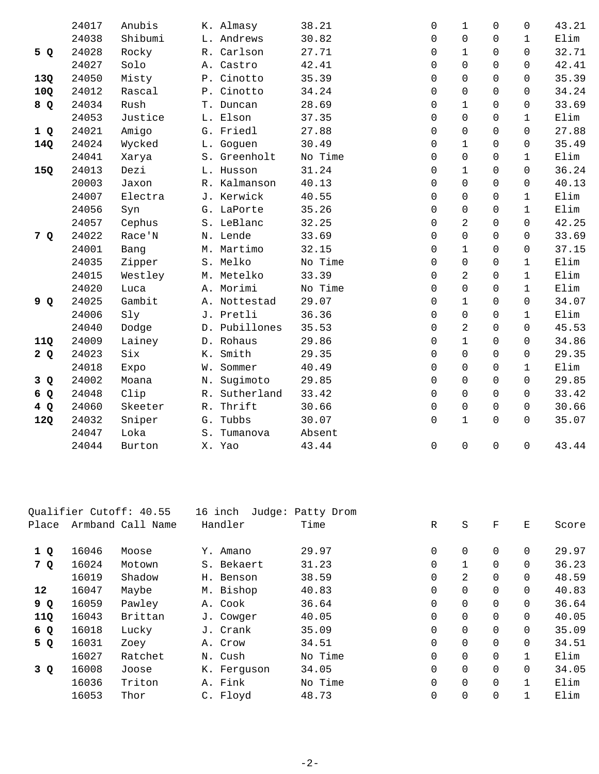|     | 24017 | Anubis  |       | K. Almasy     | 38.21   | $\mathbf 0$ | $\mathbf{1}$   | $\Omega$            | $\Omega$     | 43.21 |
|-----|-------|---------|-------|---------------|---------|-------------|----------------|---------------------|--------------|-------|
|     | 24038 | Shibumi |       | L. Andrews    | 30.82   | $\mathbf 0$ | $\Omega$       | $\Omega$            | $\mathbf{1}$ | Elim  |
| 5 Q | 24028 | Rocky   |       | R. Carlson    | 27.71   | 0           | $\mathbf{1}$   | $\Omega$            | 0            | 32.71 |
|     | 24027 | Solo    |       | A. Castro     | 42.41   | $\mathbf 0$ | $\Omega$       | $\Omega$            | $\Omega$     | 42.41 |
| 13Q | 24050 | Misty   |       | P. Cinotto    | 35.39   | 0           | $\Omega$       | $\Omega$            | $\Omega$     | 35.39 |
| 10Q | 24012 | Rascal  |       | P. Cinotto    | 34.24   | $\mathbf 0$ | $\overline{0}$ | $\Omega$            | $\Omega$     | 34.24 |
| 8 Q | 24034 | Rush    |       | T. Duncan     | 28.69   | 0           | $\mathbf 1$    | 0                   | 0            | 33.69 |
|     | 24053 | Justice |       | L. Elson      | 37.35   | 0           | $\Omega$       | $\Omega$            | $\mathbf{1}$ | Elim  |
| 1Q  | 24021 | Amigo   |       | G. Friedl     | 27.88   | 0           | $\mathbf 0$    | $\Omega$            | $\Omega$     | 27.88 |
| 14Q | 24024 | Wycked  |       | L. Goguen     | 30.49   | $\mathbf 0$ | $\mathbf 1$    | $\mathbf 0$         | 0            | 35.49 |
|     | 24041 | Xarya   |       | S. Greenholt  | No Time | 0           | $\mathbf 0$    | $\mathbf 0$         | $\mathbf 1$  | Elim  |
| 15Q | 24013 | Dezi    |       | L. Husson     | 31.24   | $\mathbf 0$ | $\mathbf 1$    | $\Omega$            | $\Omega$     | 36.24 |
|     | 20003 | Jaxon   |       | R. Kalmanson  | 40.13   | 0           | $\Omega$       | $\Omega$            | 0            | 40.13 |
|     | 24007 | Electra |       | J. Kerwick    | 40.55   | $\mathbf 0$ | $\overline{0}$ | $\mathbf 0$         | $\mathbf{1}$ | Elim  |
|     | 24056 | Syn     |       | G. LaPorte    | 35.26   | 0           | 0              | $\Omega$            | $\mathbf{1}$ | Elim  |
|     | 24057 | Cephus  |       | S. LeBlanc    | 32.25   | 0           | $\overline{2}$ | $\Omega$            | $\Omega$     | 42.25 |
| 7 Q | 24022 | Race'N  |       | N. Lende      | 33.69   | 0           | $\mathbf 0$    | $\Omega$            | 0            | 33.69 |
|     | 24001 | Bang    |       | M. Martimo    | 32.15   | $\mathbf 0$ | $\mathbf 1$    | $\mathbf 0$         | 0            | 37.15 |
|     | 24035 | Zipper  |       | S. Melko      | No Time | 0           | 0              | $\Omega$            | $\mathbf{1}$ | Elim  |
|     | 24015 | Westley |       | M. Metelko    | 33.39   | 0           | $\overline{2}$ | $\Omega$            | $\mathbf{1}$ | Elim  |
|     | 24020 | Luca    |       | A. Morimi     | No Time | 0           | 0              | $\Omega$            | $\mathbf{1}$ | Elim  |
| 9 Q | 24025 | Gambit  |       | A. Nottestad  | 29.07   | 0           | $\mathbf 1$    | 0                   | $\Omega$     | 34.07 |
|     | 24006 | Sly     |       | J. Pretli     | 36.36   | 0           | $\mathbf 0$    | $\Omega$            | $\mathbf{1}$ | Elim  |
|     | 24040 | Dodge   |       | D. Pubillones | 35.53   | $\Omega$    | $\overline{2}$ | $\Omega$            | $\Omega$     | 45.53 |
| 11Q | 24009 | Lainey  |       | D. Rohaus     | 29.86   | $\mathbf 0$ | $\mathbf 1$    | $\Omega$            | 0            | 34.86 |
| 2Q  | 24023 | Six     |       | K. Smith      | 29.35   | $\Omega$    | $\Omega$       | $\Omega$            | $\Omega$     | 29.35 |
|     | 24018 | Expo    |       | W. Sommer     | 40.49   | 0           | $\Omega$       | $\Omega$            | $\mathbf{1}$ | Elim  |
| 3Q  | 24002 | Moana   | Ν.    | Sugimoto      | 29.85   | $\mathbf 0$ | $\Omega$       | $\Omega$            | $\Omega$     | 29.85 |
| 6 Q | 24048 | Clip    | R.    | Sutherland    | 33.42   | $\mathbf 0$ | $\Omega$       | $\Omega$            | 0            | 33.42 |
| 4Q  | 24060 | Skeeter |       | R. Thrift     | 30.66   | $\mathbf 0$ | $\mathbf 0$    | $\Omega$            | $\Omega$     | 30.66 |
|     | 24032 | Sniper  |       | G. Tubbs      | 30.07   | $\mathsf 0$ | $\mathbf{1}$   | $\overline{0}$      | 0            | 35.07 |
| 12Q | 24047 | Loka    | $S$ . | Tumanova      | Absent  |             |                |                     |              |       |
|     | 24044 |         |       |               | 43.44   |             | $\mathsf 0$    | $\mathsf{O}\xspace$ |              | 43.44 |
|     |       | Burton  |       | X. Yao        |         | 0           |                |                     | 0            |       |

| Qualifier Cutoff: 40.55 |       | 16 inch           | Judge: Patty Drom |         |             |              |                |          |       |
|-------------------------|-------|-------------------|-------------------|---------|-------------|--------------|----------------|----------|-------|
| Place                   |       | Armband Call Name | Handler           | Time    | R           | $\rm S$      | $\mathbf F$    | Ε        | Score |
|                         |       |                   |                   |         |             |              |                |          |       |
| 1 Q                     | 16046 | Moose             | Y. Amano          | 29.97   | 0           | $\mathbf 0$  | $\mathbf 0$    | 0        | 29.97 |
| 7 Q                     | 16024 | Motown            | S. Bekaert        | 31.23   | $\mathbf 0$ | $\mathbf{1}$ | $\Omega$       | $\Omega$ | 36.23 |
|                         | 16019 | Shadow            | H. Benson         | 38.59   | 0           | 2            | $\mathbf 0$    | 0        | 48.59 |
| 12                      | 16047 | Maybe             | M. Bishop         | 40.83   | $\mathbf 0$ | $\mathbf 0$  | $\mathbf 0$    | 0        | 40.83 |
| 9 Q                     | 16059 | Pawley            | A. Cook           | 36.64   | 0           | $\mathbf 0$  | $\overline{0}$ | 0        | 36.64 |
| 11Q                     | 16043 | Brittan           | J. Cowger         | 40.05   | $\mathbf 0$ | $\mathbf 0$  | $\Omega$       | $\Omega$ | 40.05 |
| 6 Q                     | 16018 | Lucky             | J. Crank          | 35.09   | 0           | $\mathbf 0$  | $\mathbf 0$    | 0        | 35.09 |
| 5 Q                     | 16031 | Zoey              | A. Crow           | 34.51   | $\mathbf 0$ | $\mathbf 0$  | $\mathbf 0$    | $\Omega$ | 34.51 |
|                         | 16027 | Ratchet           | N. Cush           | No Time | 0           | $\mathbf 0$  | $\mathbf 0$    | 1        | Elim  |
| 3 Q                     | 16008 | Joose             | K. Ferguson       | 34.05   | $\mathbf 0$ | $\Omega$     | $\Omega$       | $\Omega$ | 34.05 |
|                         | 16036 | Triton            | A. Fink           | No Time | 0           | $\mathbf 0$  | $\mathbf 0$    | 1        | Elim  |
|                         | 16053 | Thor              | C. Floyd          | 48.73   | $\mathbf 0$ | $\mathbf 0$  | $\overline{0}$ | 1        | Elim  |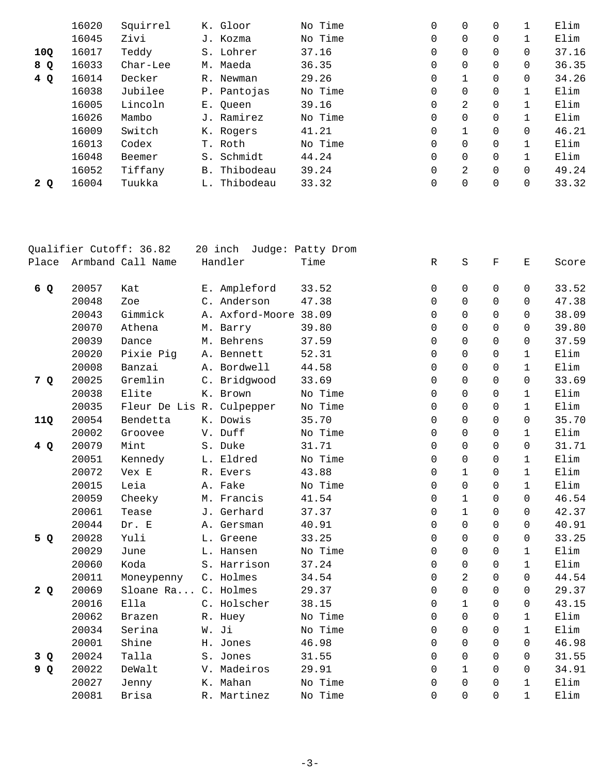|     | 16020 | Squirrel | K. Gloor                | No Time | 0           | 0        | $\Omega$ |          | Elim  |
|-----|-------|----------|-------------------------|---------|-------------|----------|----------|----------|-------|
|     | 16045 | Zivi     | J. Kozma                | No Time | 0           | $\Omega$ | $\Omega$ |          | Elim  |
| 10Q | 16017 | Teddy    | S. Lohrer               | 37.16   | 0           | 0        | $\Omega$ | $\Omega$ | 37.16 |
| 8 Q | 16033 | Char-Lee | M. Maeda                | 36.35   | 0           | $\Omega$ | $\Omega$ | $\Omega$ | 36.35 |
| 4Q  | 16014 | Decker   | Newman<br>R.            | 29.26   | 0           |          | $\Omega$ |          | 34.26 |
|     | 16038 | Jubilee  | P. Pantojas             | No Time | 0           | $\Omega$ | $\Omega$ |          | Elim  |
|     | 16005 | Lincoln  | E. Oueen                | 39.16   | 0           | 2        | 0        |          | Elim  |
|     | 16026 | Mambo    | J. Ramirez              | No Time | $\mathbf 0$ | $\Omega$ | $\Omega$ |          | Elim  |
|     | 16009 | Switch   | K. Rogers               | 41.21   | 0           |          | $\Omega$ | $\Omega$ | 46.21 |
|     | 16013 | Codex    | T. Roth                 | No Time | 0           | $\Omega$ | $\Omega$ |          | Elim  |
|     | 16048 | Beemer   | Schmidt<br>$S$ .        | 44.24   | 0           | $\Omega$ | $\Omega$ |          | Elim  |
|     | 16052 | Tiffany  | Thibodeau<br><b>B</b> . | 39.24   | $\mathbf 0$ | 2        | $\Omega$ |          | 49.24 |
| 2 Q | 16004 | Tuukka   | L. Thibodeau            | 33.32   | 0           | 0        | 0        |          | 33.32 |
|     |       |          |                         |         |             |          |          |          |       |

|       |       | Qualifier Cutoff: 36.82   | 20 inch<br>Judge: Patty Drom |       |         |             |                |             |              |       |
|-------|-------|---------------------------|------------------------------|-------|---------|-------------|----------------|-------------|--------------|-------|
| Place |       | Armband Call Name         | Handler                      | Time  |         | $\mathbb R$ | $\rm S$        | $\mathbf F$ | Е            | Score |
| 6 Q   | 20057 | Kat                       | E. Ampleford                 | 33.52 |         | 0           | $\overline{0}$ | 0           | $\mathbf 0$  | 33.52 |
|       | 20048 | Zoe                       | C. Anderson                  | 47.38 |         | $\Omega$    | $\Omega$       | $\Omega$    | $\Omega$     | 47.38 |
|       | 20043 | Gimmick                   | A. Axford-Moore 38.09        |       |         | $\Omega$    | $\Omega$       | $\Omega$    | $\Omega$     | 38.09 |
|       | 20070 | Athena                    | M. Barry                     | 39.80 |         | $\Omega$    | $\Omega$       | $\Omega$    | $\Omega$     | 39.80 |
|       | 20039 | Dance                     | M. Behrens                   | 37.59 |         | $\Omega$    | $\Omega$       | $\Omega$    | $\Omega$     | 37.59 |
|       | 20020 | Pixie Pig                 | A. Bennett                   | 52.31 |         | $\mathbf 0$ | 0              | $\Omega$    | $\mathbf{1}$ | Elim  |
|       | 20008 | Banzai                    | A. Bordwell                  | 44.58 |         | $\mathbf 0$ | $\Omega$       | $\Omega$    | $\mathbf{1}$ | Elim  |
| 7 Q   | 20025 | Gremlin                   | C. Bridgwood                 | 33.69 |         | $\mathbf 0$ | 0              | 0           | 0            | 33.69 |
|       | 20038 | Elite                     | K. Brown                     |       | No Time | $\mathbf 0$ | 0              | $\Omega$    | $\mathbf{1}$ | Elim  |
|       | 20035 | Fleur De Lis R. Culpepper |                              |       | No Time | $\Omega$    | $\Omega$       | $\Omega$    | $\mathbf{1}$ | Elim  |
| 11Q   | 20054 | Bendetta                  | K. Dowis                     | 35.70 |         | $\Omega$    | 0              | $\Omega$    | $\Omega$     | 35.70 |
|       | 20002 | Groovee                   | V. Duff                      |       | No Time | 0           | $\Omega$       | 0           | $\mathbf{1}$ | Elim  |
| 4 Q   | 20079 | Mint                      | S. Duke                      | 31.71 |         | 0           | 0              | $\Omega$    | $\mathbf 0$  | 31.71 |
|       | 20051 | Kennedy                   | L. Eldred                    |       | No Time | 0           | $\mathbf 0$    | $\Omega$    | $\mathbf{1}$ | Elim  |
|       | 20072 | Vex E                     | R. Evers                     | 43.88 |         | $\mathbf 0$ | $\mathbf{1}$   | 0           | $\mathbf{1}$ | Elim  |
|       | 20015 | Leia                      | A. Fake                      |       | No Time | $\Omega$    | 0              | $\Omega$    | $\mathbf{1}$ | Elim  |
|       | 20059 | Cheeky                    | M. Francis                   | 41.54 |         | 0           | $\mathbf{1}$   | $\Omega$    | $\Omega$     | 46.54 |
|       | 20061 | Tease                     | J. Gerhard                   | 37.37 |         | $\Omega$    | $\mathbf{1}$   | 0           | $\Omega$     | 42.37 |
|       | 20044 | Dr. E                     | A. Gersman                   | 40.91 |         | $\Omega$    | $\Omega$       | $\Omega$    | $\Omega$     | 40.91 |
| 5 Q   | 20028 | Yuli                      | L. Greene                    | 33.25 |         | $\mathbf 0$ | 0              | $\Omega$    | $\mathbf 0$  | 33.25 |
|       | 20029 | June                      | L. Hansen                    |       | No Time | 0           | $\Omega$       | $\Omega$    | $\mathbf{1}$ | Elim  |
|       | 20060 | Koda                      | S. Harrison                  | 37.24 |         | $\mathbf 0$ | 0              | 0           | $\mathbf{1}$ | Elim  |
|       | 20011 | Moneypenny                | C. Holmes                    | 34.54 |         | $\Omega$    | 2              | $\Omega$    | $\Omega$     | 44.54 |
| 2Q    | 20069 | Sloane Ra C. Holmes       |                              | 29.37 |         | 0           | 0              | $\Omega$    | 0            | 29.37 |
|       | 20016 | Ella                      | C. Holscher                  | 38.15 |         | $\Omega$    | $\mathbf{1}$   | $\Omega$    | $\Omega$     | 43.15 |
|       | 20062 | Brazen                    | R. Huey                      |       | No Time | $\Omega$    | $\Omega$       | $\Omega$    | $\mathbf{1}$ | Elim  |
|       | 20034 | Serina                    | W. Ji                        |       | No Time | $\mathbf 0$ | 0              | 0           | $\mathbf{1}$ | Elim  |
|       | 20001 | Shine                     | H. Jones                     | 46.98 |         | $\Omega$    | $\Omega$       | $\Omega$    | $\mathsf{O}$ | 46.98 |
| 3 Q   | 20024 | Talla                     | S. Jones                     | 31.55 |         | 0           | 0              | $\Omega$    | $\mathbf 0$  | 31.55 |
| 9 Q   | 20022 | DeWalt                    | V. Madeiros                  | 29.91 |         | $\Omega$    | $\mathbf{1}$   | 0           | $\Omega$     | 34.91 |
|       | 20027 | Jenny                     | K. Mahan                     |       | No Time | 0           | 0              | 0           | $\mathbf{1}$ | Elim  |
|       | 20081 | Brisa                     | R. Martinez                  |       | No Time | $\Omega$    | $\Omega$       | $\Omega$    | $\mathbf{1}$ | Elim  |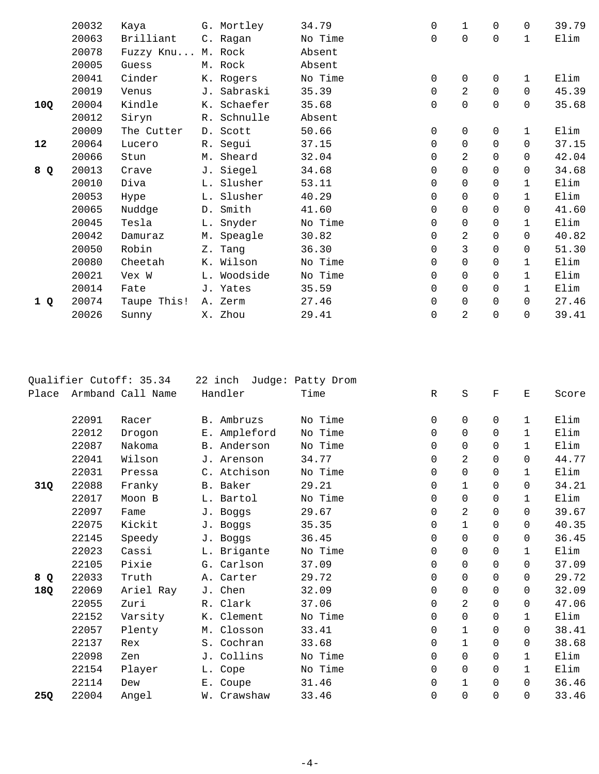|     | 20032 | Kaya        | G. Mortley  | 34.79   | 0           | 1              | $\mathbf 0$ | $\Omega$     | 39.79 |
|-----|-------|-------------|-------------|---------|-------------|----------------|-------------|--------------|-------|
|     | 20063 | Brilliant   | C. Ragan    | No Time | $\Omega$    | $\Omega$       | $\Omega$    | $\mathbf{1}$ | Elim  |
|     | 20078 | Fuzzy Knu   | M. Rock     | Absent  |             |                |             |              |       |
|     | 20005 | Guess       | M. Rock     | Absent  |             |                |             |              |       |
|     | 20041 | Cinder      | K. Rogers   | No Time | $\mathbf 0$ | $\mathbf 0$    | 0           | 1            | Elim  |
|     | 20019 | Venus       | J. Sabraski | 35.39   | $\mathbf 0$ | $\overline{a}$ | $\mathbf 0$ | $\Omega$     | 45.39 |
| 10Q | 20004 | Kindle      | K. Schaefer | 35.68   | $\mathbf 0$ | 0              | 0           | $\Omega$     | 35.68 |
|     | 20012 | Siryn       | R. Schnulle | Absent  |             |                |             |              |       |
|     | 20009 | The Cutter  | D. Scott    | 50.66   | $\mathbf 0$ | $\mathbf 0$    | 0           | $\mathbf 1$  | Elim  |
| 12  | 20064 | Lucero      | R. Segui    | 37.15   | $\mathbf 0$ | 0              | $\mathbf 0$ | $\Omega$     | 37.15 |
|     | 20066 | Stun        | M. Sheard   | 32.04   | $\mathbf 0$ | 2              | $\Omega$    | $\Omega$     | 42.04 |
| 8 Q | 20013 | Crave       | J. Siegel   | 34.68   | $\mathbf 0$ | 0              | $\mathbf 0$ | $\Omega$     | 34.68 |
|     | 20010 | Diva        | L. Slusher  | 53.11   | 0           | 0              | $\mathbf 0$ | $\mathbf{1}$ | Elim  |
|     | 20053 | Hype        | L. Slusher  | 40.29   | 0           | 0              | 0           | $\mathbf{1}$ | Elim  |
|     | 20065 | Nuddge      | D. Smith    | 41.60   | $\mathbf 0$ | 0              | $\Omega$    | $\Omega$     | 41.60 |
|     | 20045 | Tesla       | L. Snyder   | No Time | $\Omega$    | $\Omega$       | 0           | $\mathbf{1}$ | Elim  |
|     | 20042 | Damuraz     | M. Speagle  | 30.82   | $\mathbf 0$ | 2              | 0           | $\Omega$     | 40.82 |
|     | 20050 | Robin       | Z. Tang     | 36.30   | $\mathbf 0$ | 3              | 0           | $\mathbf 0$  | 51.30 |
|     | 20080 | Cheetah     | K. Wilson   | No Time | 0           | 0              | 0           | $\mathbf{1}$ | Elim  |
|     | 20021 | Vex W       | L. Woodside | No Time | $\mathbf 0$ | 0              | $\Omega$    | $\mathbf{1}$ | Elim  |
|     | 20014 | Fate        | J. Yates    | 35.59   | $\mathbf 0$ | $\mathbf 0$    | $\Omega$    | $\mathbf{1}$ | Elim  |
| 1 Q | 20074 | Taupe This! | A. Zerm     | 27.46   | 0           | 0              | $\mathbf 0$ | $\mathbf 0$  | 27.46 |
|     | 20026 | Sunny       | X. Zhou     | 29.41   | 0           | $\overline{2}$ | 0           | 0            | 39.41 |
|     |       |             |             |         |             |                |             |              |       |

| Qualifier Cutoff: 35.34 |       | 22 inch           | Judge: Patty Drom |         |             |             |             |              |       |
|-------------------------|-------|-------------------|-------------------|---------|-------------|-------------|-------------|--------------|-------|
| Place                   |       | Armband Call Name | Handler           | Time    | $\mathbb R$ | $\rm S$     | $\mathbf F$ | $\mathbf E$  | Score |
|                         |       |                   |                   |         |             |             |             |              |       |
|                         | 22091 | Racer             | B. Ambruzs        | No Time | 0           | 0           | 0           | 1            | Elim  |
|                         | 22012 | Drogon            | E. Ampleford      | No Time | $\mathbf 0$ | 0           | $\Omega$    | 1            | Elim  |
|                         | 22087 | Nakoma            | B. Anderson       | No Time | $\Omega$    | 0           | $\Omega$    | 1            | Elim  |
|                         | 22041 | Wilson            | J. Arenson        | 34.77   | $\mathbf 0$ | 2           | $\mathbf 0$ | $\Omega$     | 44.77 |
|                         | 22031 | Pressa            | C. Atchison       | No Time | $\mathbf 0$ | 0           | $\mathbf 0$ | 1            | Elim  |
| 31Q                     | 22088 | Franky            | B. Baker          | 29.21   | 0           | 1           | $\mathbf 0$ | $\Omega$     | 34.21 |
|                         | 22017 | Moon B            | L. Bartol         | No Time | $\mathbf 0$ | 0           | $\mathbf 0$ | 1            | Elim  |
|                         | 22097 | Fame              | J. Boggs          | 29.67   | $\mathbf 0$ | 2           | $\Omega$    | $\Omega$     | 39.67 |
|                         | 22075 | Kickit            | J. Boggs          | 35.35   | $\mathbf 0$ | $\mathbf 1$ | $\Omega$    | $\Omega$     | 40.35 |
|                         | 22145 | Speedy            | J. Boggs          | 36.45   | $\mathbf 0$ | 0           | $\Omega$    | 0            | 36.45 |
|                         | 22023 | Cassi             | L. Brigante       | No Time | $\mathbf 0$ | $\Omega$    | $\Omega$    | $\mathbf{1}$ | Elim  |
|                         | 22105 | Pixie             | G. Carlson        | 37.09   | $\mathbf 0$ | 0           | $\mathbf 0$ | 0            | 37.09 |
| 8 Q                     | 22033 | Truth             | A. Carter         | 29.72   | $\mathbf 0$ | 0           | $\Omega$    | $\Omega$     | 29.72 |
| 18Q                     | 22069 | Ariel Ray         | J. Chen           | 32.09   | $\mathbf 0$ | 0           | $\Omega$    | $\Omega$     | 32.09 |
|                         | 22055 | Zuri              | R. Clark          | 37.06   | $\mathbf 0$ | 2           | $\Omega$    | $\Omega$     | 47.06 |
|                         | 22152 | Varsity           | K. Clement        | No Time | $\mathbf 0$ | 0           | $\Omega$    | $\mathbf 1$  | Elim  |
|                         | 22057 | Plenty            | M. Closson        | 33.41   | $\mathbf 0$ | $\mathbf 1$ | $\Omega$    | $\Omega$     | 38.41 |
|                         | 22137 | Rex               | S. Cochran        | 33.68   | $\mathbf 0$ | $\mathbf 1$ | $\mathbf 0$ | 0            | 38.68 |
|                         | 22098 | Zen               | J. Collins        | No Time | $\mathbf 0$ | 0           | $\Omega$    | $\mathbf{1}$ | Elim  |
|                         | 22154 | Player            | L. Cope           | No Time | $\mathbf 0$ | 0           | $\Omega$    | $\mathbf{1}$ | Elim  |
|                         | 22114 | Dew               | E. Coupe          | 31.46   | $\mathbf 0$ | $\mathbf 1$ | $\Omega$    | $\Omega$     | 36.46 |
| 25Q                     | 22004 | Angel             | W. Crawshaw       | 33.46   | $\mathbf 0$ | 0           | $\Omega$    | 0            | 33.46 |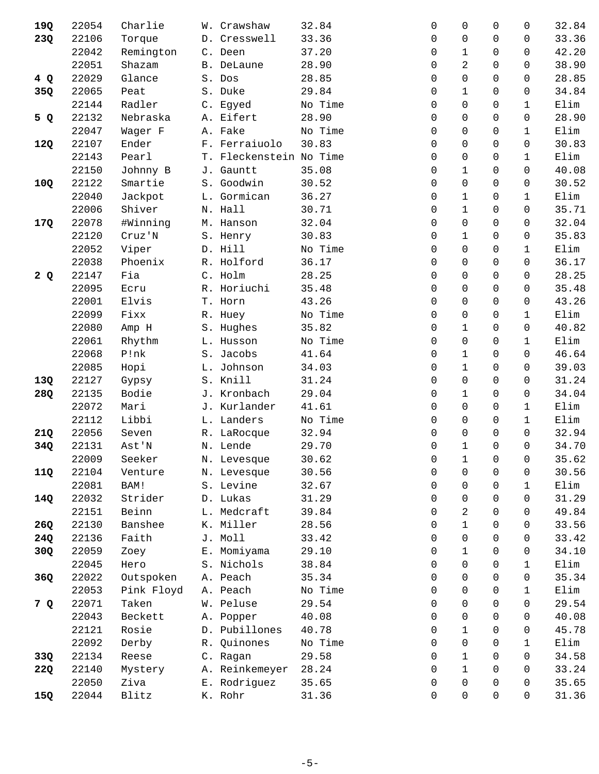| 19Q | 22054 | Charlie    | W. Crawshaw             | 32.84   | 0<br>0                     | $\Omega$<br>0               | 32.84 |
|-----|-------|------------|-------------------------|---------|----------------------------|-----------------------------|-------|
| 23Q | 22106 | Torque     | D. Cresswell            | 33.36   | 0<br>0                     | $\Omega$<br>0               | 33.36 |
|     | 22042 | Remington  | C. Deen                 | 37.20   | $\mathbf{1}$<br>0          | $\Omega$<br>$\Omega$        | 42.20 |
|     | 22051 | Shazam     | B. DeLaune              | 28.90   | 2<br>$\mathbf 0$           | 0<br>0                      | 38.90 |
| 4 Q | 22029 | Glance     | S. Dos                  | 28.85   | $\mathbf 0$<br>0           | $\Omega$<br>$\Omega$        | 28.85 |
| 35Q | 22065 | Peat       | S. Duke                 | 29.84   | $\mathbf{1}$<br>0          | 0<br>0                      | 34.84 |
|     | 22144 | Radler     | C. Egyed                | No Time | $\mathbf 0$<br>0           | $\mathbf 0$<br>$\mathbf{1}$ | Elim  |
| 5 Q | 22132 | Nebraska   | A. Eifert               | 28.90   | $\mathbf 0$<br>0           | 0<br>0                      | 28.90 |
|     | 22047 | Wager F    | A. Fake                 | No Time | 0<br>0                     | 0<br>1                      | Elim  |
| 12Q | 22107 | Ender      | F. Ferraiuolo           | 30.83   | $\mathbf 0$<br>0           | $\Omega$<br>0               | 30.83 |
|     | 22143 | Pearl      | T. Fleckenstein No Time |         | $\mathbf 0$<br>0           | 0<br>$\mathbf{1}$           | Elim  |
|     | 22150 | Johnny B   | J. Gauntt               | 35.08   | $\mathbf 1$<br>0           | 0<br>0                      | 40.08 |
| 10Q | 22122 | Smartie    | S. Goodwin              | 30.52   | $\mathbf 0$<br>$\mathbf 0$ | 0<br>0                      | 30.52 |
|     | 22040 | Jackpot    | L. Gormican             | 36.27   | 1<br>0                     | 0<br>$\mathbf{1}$           | Elim  |
|     | 22006 | Shiver     | N. Hall                 | 30.71   | $\mathbf{1}$<br>0          | $\Omega$<br>$\Omega$        | 35.71 |
| 17Q | 22078 | #Winning   | M. Hanson               | 32.04   | $\mathbf 0$<br>0           | 0<br>0                      | 32.04 |
|     | 22120 | Cruz'N     | S. Henry                | 30.83   | $\mathbf 1$<br>$\mathbf 0$ | 0<br>0                      | 35.83 |
|     | 22052 | Viper      | D. Hill                 | No Time | $\Omega$<br>0              | $\Omega$<br>$\mathbf{1}$    | Elim  |
|     | 22038 | Phoenix    | R. Holford              | 36.17   | 0<br>$\Omega$              | $\Omega$<br>0               | 36.17 |
| 2Q  | 22147 | Fia        | C. Holm                 | 28.25   | $\mathbf 0$<br>$\mathbf 0$ | $\mathbf 0$<br>0            | 28.25 |
|     | 22095 | Ecru       | R. Horiuchi             | 35.48   | $\mathbf 0$<br>$\mathbf 0$ | 0<br>0                      | 35.48 |
|     | 22001 | Elvis      | T. Horn                 | 43.26   | $\mathbf 0$<br>0           | 0<br>0                      | 43.26 |
|     | 22099 | Fixx       | R. Huey                 | No Time | $\mathbf 0$<br>0           | $\Omega$<br>$\mathbf{1}$    | Elim  |
|     | 22080 | Amp H      | S. Hughes               | 35.82   | $\mathbf 1$<br>0           | 0<br>0                      | 40.82 |
|     | 22061 | Rhythm     | L. Husson               | No Time | 0<br>0                     | 0<br>$\mathbf 1$            | Elim  |
|     | 22068 | P!nk       | S. Jacobs               | 41.64   | $\mathbf 1$<br>0           | $\Omega$<br>$\Omega$        | 46.64 |
|     | 22085 | Hopi       | L. Johnson              | 34.03   | $\mathbf{1}$<br>0          | $\Omega$<br>0               | 39.03 |
| 13Q | 22127 | Gypsy      | S. Knill                | 31.24   | $\mathbf 0$<br>0           | $\Omega$<br>$\Omega$        | 31.24 |
| 28Q | 22135 | Bodie      | J. Kronbach             | 29.04   | $\mathbf 1$<br>$\mathbf 0$ | 0<br>0                      | 34.04 |
|     | 22072 | Mari       | J. Kurlander            | 41.61   | $\mathbf 0$<br>0           | 0<br>1                      | Elim  |
|     | 22112 | Libbi      | L. Landers              | No Time | 0<br>0                     | 0<br>1                      | Elim  |
| 21Q | 22056 | Seven      | R. LaRocque             | 32.94   | $\mathbf 0$<br>0           | $\Omega$<br>$\Omega$        | 32.94 |
| 34Q | 22131 | Ast'N      | N. Lende                | 29.70   | $\mathbf 1$<br>0           | 0<br>0                      | 34.70 |
|     | 22009 | Seeker     | N. Levesque             | 30.62   | $\mathbf 1$<br>$\mathsf 0$ | $\mathbf 0$<br>0            | 35.62 |
| 11Q | 22104 | Venture    | N. Levesque             | 30.56   | 0<br>0                     | 0<br>0                      | 30.56 |
|     | 22081 | BAM!       | S. Levine               | 32.67   | $\overline{0}$<br>0        | $\mathbf 0$<br>$\mathbf{1}$ | Elim  |
| 14Q | 22032 | Strider    | D. Lukas                | 31.29   | 0<br>0                     | 0<br>0                      | 31.29 |
|     | 22151 | Beinn      | L. Medcraft             | 39.84   | $\overline{a}$<br>0        | 0<br>0                      | 49.84 |
| 26Q | 22130 | Banshee    | K. Miller               | 28.56   | $\mathbf 1$<br>0           | $\Omega$<br>0               | 33.56 |
| 24Q | 22136 | Faith      | J. Moll                 | 33.42   | $\overline{0}$<br>0        | $\Omega$<br>$\Omega$        | 33.42 |
| 30Q | 22059 | Zoey       | E. Momiyama             | 29.10   | $\mathbf 1$<br>0           | $\mathbf 0$<br>0            | 34.10 |
|     | 22045 | Hero       | S. Nichols              | 38.84   | $\mathbf 0$<br>0           | 0<br>$\mathbf{1}$           | Elim  |
| 36Q | 22022 | Outspoken  | A. Peach                | 35.34   | 0<br>0                     | 0<br>0                      | 35.34 |
|     | 22053 | Pink Floyd | A. Peach                | No Time | $\mathbf 0$<br>0           | $\Omega$<br>1               | Elim  |
| 7 Q | 22071 | Taken      | W. Peluse               | 29.54   | 0<br>$\mathbf 0$           | $\mathbf 0$<br>0            | 29.54 |
|     | 22043 | Beckett    | A. Popper               | 40.08   | $\mathbf 0$<br>0           | 0<br>0                      | 40.08 |
|     | 22121 | Rosie      | D. Pubillones           | 40.78   | $\mathbf 1$<br>0           | $\Omega$<br>0               | 45.78 |
|     | 22092 | Derby      | R. Quinones             | No Time | $\mathbf 0$<br>0           | $\Omega$<br>1               | Elim  |
| 33Q | 22134 | Reese      | C. Ragan                | 29.58   | $\mathbf 1$<br>0           | $\mathbf 0$<br>0            | 34.58 |
| 22Q | 22140 | Mystery    | A. Reinkemeyer          | 28.24   | $\mathbf 1$<br>0           | 0<br>0                      | 33.24 |
|     | 22050 | Ziva       | E. Rodriguez            | 35.65   | $\mathbf 0$<br>0           | 0<br>0                      | 35.65 |
| 15Q | 22044 | Blitz      | K. Rohr                 | 31.36   | $\mathbf 0$<br>0           | 0<br>0                      | 31.36 |